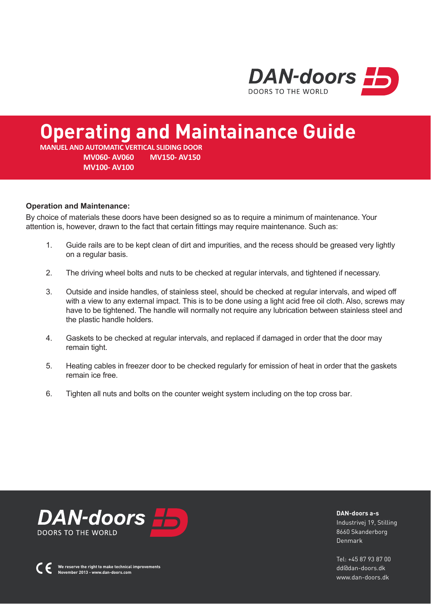

# **Operating and Maintainance Guide**

**MANUEL AND AUTOMATIC VERTICAL SLIDING DOOR MV060- AV060 MV150- AV150 MV100- AV100** 

### **Operation and Maintenance:**

By choice of materials these doors have been designed so as to require a minimum of maintenance. Your attention is, however, drawn to the fact that certain fittings may require maintenance. Such as:

- 1. Guide rails are to be kept clean of dirt and impurities, and the recess should be greased very lightly on a regular basis.
- 2. The driving wheel bolts and nuts to be checked at regular intervals, and tightened if necessary.
- 3. Outside and inside handles, of stainless steel, should be checked at regular intervals, and wiped off with a view to any external impact. This is to be done using a light acid free oil cloth. Also, screws may have to be tightened. The handle will normally not require any lubrication between stainless steel and the plastic handle holders.
- 4. Gaskets to be checked at regular intervals, and replaced if damaged in order that the door may remain tight.
- 5. Heating cables in freezer door to be checked regularly for emission of heat in order that the gaskets remain ice free.
- 6. Tighten all nuts and bolts on the counter weight system including on the top cross bar.



**DAN-doors a-s** Industrivej 19, Stilling 8660 Skanderborg Denmark

Tel: +45 87 93 87 00 dd@dan-doors.dk www.dan-doors.dk

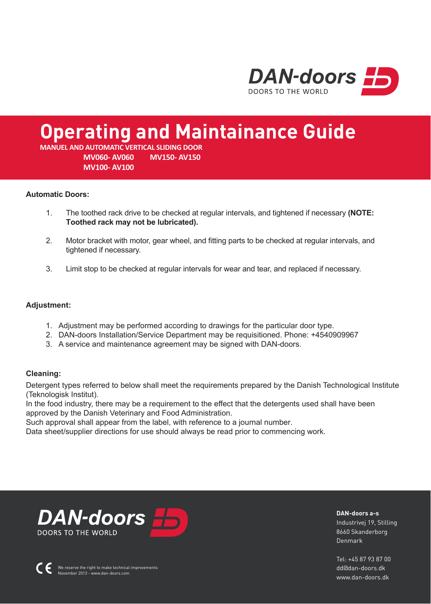

# **Operating and Maintainance Guide**

**MANUEL AND AUTOMATIC VERTICAL SLIDING DOOR MV060- AV060 MV150- AV150 MV100- AV100** 

### **Automatic Doors:**

- 1. The toothed rack drive to be checked at regular intervals, and tightened if necessary **(NOTE: Toothed rack may not be lubricated).**
- 2. Motor bracket with motor, gear wheel, and fitting parts to be checked at regular intervals, and tightened if necessary.
- 3. Limit stop to be checked at regular intervals for wear and tear, and replaced if necessary.

### **Adjustment:**

- 1. Adjustment may be performed according to drawings for the particular door type.
- 2. DAN-doors Installation/Service Department may be requisitioned. Phone: +4540909967
- 3. A service and maintenance agreement may be signed with DAN-doors.

### **Cleaning:**

Detergent types referred to below shall meet the requirements prepared by the Danish Technological Institute (Teknologisk Institut).

In the food industry, there may be a requirement to the effect that the detergents used shall have been approved by the Danish Veterinary and Food Administration.

Such approval shall appear from the label, with reference to a journal number.

Data sheet/supplier directions for use should always be read prior to commencing work.



**DAN-doors a-s** Industrivej 19, Stilling 8660 Skanderborg Denmark

Tel: +45 87 93 87 00 dd@dan-doors.dk www.dan-doors.dk